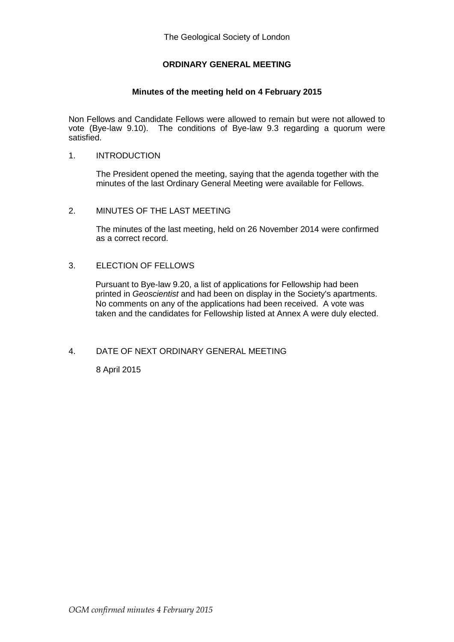# **ORDINARY GENERAL MEETING**

# **Minutes of the meeting held on 4 February 2015**

Non Fellows and Candidate Fellows were allowed to remain but were not allowed to vote (Bye-law 9.10). The conditions of Bye-law 9.3 regarding a quorum were satisfied.

#### 1. INTRODUCTION

The President opened the meeting, saying that the agenda together with the minutes of the last Ordinary General Meeting were available for Fellows.

#### 2. MINUTES OF THE LAST MEETING

The minutes of the last meeting, held on 26 November 2014 were confirmed as a correct record.

## 3. ELECTION OF FELLOWS

Pursuant to Bye-law 9.20, a list of applications for Fellowship had been printed in *Geoscientist* and had been on display in the Society's apartments. No comments on any of the applications had been received. A vote was taken and the candidates for Fellowship listed at Annex A were duly elected.

#### 4. DATE OF NEXT ORDINARY GENERAL MEETING

8 April 2015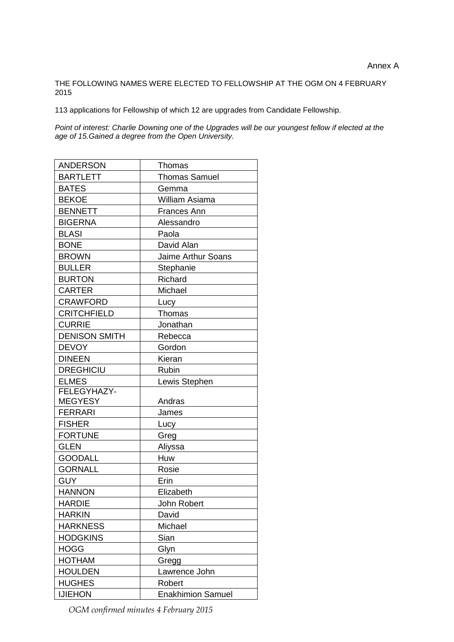## THE FOLLOWING NAMES WERE ELECTED TO FELLOWSHIP AT THE OGM ON 4 FEBRUARY 2015

113 applications for Fellowship of which 12 are upgrades from Candidate Fellowship.

*Point of interest: Charlie Downing one of the Upgrades will be our youngest fellow if elected at the age of 15.Gained a degree from the Open University.*

| <b>ANDERSON</b>      | Thomas                    |  |
|----------------------|---------------------------|--|
| <b>BARTLETT</b>      | <b>Thomas Samuel</b>      |  |
| <b>BATES</b>         | Gemma                     |  |
| <b>BEKOE</b>         | William Asiama            |  |
| <b>BENNETT</b>       | <b>Frances Ann</b>        |  |
| <b>BIGERNA</b>       | Alessandro                |  |
| <b>BLASI</b>         | Paola                     |  |
| <b>BONE</b>          | David Alan                |  |
| <b>BROWN</b>         | <b>Jaime Arthur Soans</b> |  |
| <b>BULLER</b>        | Stephanie                 |  |
| <b>BURTON</b>        | Richard                   |  |
| <b>CARTER</b>        | Michael                   |  |
| <b>CRAWFORD</b>      | Lucy                      |  |
| <b>CRITCHFIELD</b>   | <b>Thomas</b>             |  |
| <b>CURRIE</b>        | Jonathan                  |  |
| <b>DENISON SMITH</b> | Rebecca                   |  |
| <b>DEVOY</b>         | Gordon                    |  |
| <b>DINEEN</b>        | Kieran                    |  |
| <b>DREGHICIU</b>     | Rubin                     |  |
| <b>ELMES</b>         | Lewis Stephen             |  |
| FELEGYHAZY-          |                           |  |
| <b>MEGYESY</b>       | Andras                    |  |
| <b>FERRARI</b>       | James                     |  |
| <b>FISHER</b>        | Lucy                      |  |
| <b>FORTUNE</b>       | Greg                      |  |
| <b>GLEN</b>          | Aliyssa                   |  |
| <b>GOODALL</b>       | Huw                       |  |
| <b>GORNALL</b>       | Rosie                     |  |
| <b>GUY</b>           | Erin                      |  |
| <b>HANNON</b>        | Elizabeth                 |  |
| <b>HARDIE</b>        | John Robert               |  |
| <b>HARKIN</b>        | David                     |  |
| <b>HARKNESS</b>      | Michael                   |  |
| <b>HODGKINS</b>      | Sian                      |  |
| <b>HOGG</b>          | Glyn                      |  |
| <b>HOTHAM</b>        | Gregg                     |  |
| <b>HOULDEN</b>       | Lawrence John             |  |
| <b>HUGHES</b>        | Robert                    |  |
| <b>IJIEHON</b>       | <b>Enakhimion Samuel</b>  |  |

*OGM confirmed minutes 4 February 2015*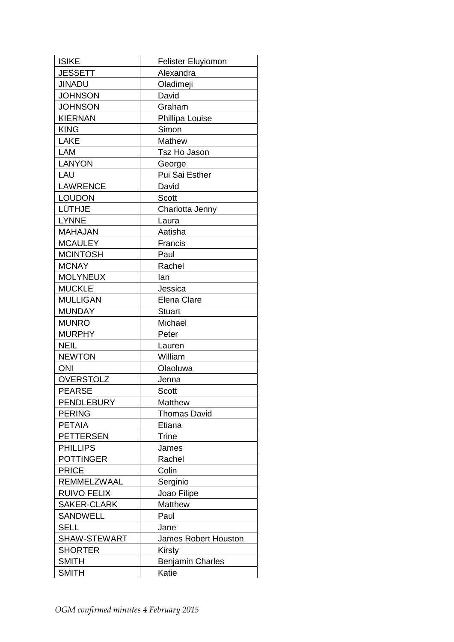| <b>ISIKE</b>       | <b>Felister Eluyiomon</b> |  |
|--------------------|---------------------------|--|
| <b>JESSETT</b>     | Alexandra                 |  |
| <b>JINADU</b>      | Oladimeji                 |  |
| <b>JOHNSON</b>     | David                     |  |
| <b>JOHNSON</b>     | Graham                    |  |
| <b>KIERNAN</b>     | Phillipa Louise           |  |
| <b>KING</b>        | Simon                     |  |
| <b>LAKE</b>        | Mathew                    |  |
| LAM                | Tsz Ho Jason              |  |
| <b>LANYON</b>      | George                    |  |
| LAU                | Pui Sai Esther            |  |
| <b>LAWRENCE</b>    | David                     |  |
| <b>LOUDON</b>      | <b>Scott</b>              |  |
| LÜTHJE             | Charlotta Jenny           |  |
| <b>LYNNE</b>       | Laura                     |  |
| <b>MAHAJAN</b>     | Aatisha                   |  |
| <b>MCAULEY</b>     | Francis                   |  |
| <b>MCINTOSH</b>    | Paul                      |  |
| <b>MCNAY</b>       | Rachel                    |  |
| <b>MOLYNEUX</b>    | lan                       |  |
| <b>MUCKLE</b>      | Jessica                   |  |
| <b>MULLIGAN</b>    | <b>Elena Clare</b>        |  |
| <b>MUNDAY</b>      | Stuart                    |  |
| <b>MUNRO</b>       | Michael                   |  |
| <b>MURPHY</b>      | Peter                     |  |
| <b>NEIL</b>        | Lauren                    |  |
| <b>NEWTON</b>      | William                   |  |
| <b>ONI</b>         | Olaoluwa                  |  |
| <b>OVERSTOLZ</b>   | Jenna                     |  |
| <b>PEARSE</b>      | <b>Scott</b>              |  |
| <b>PENDLEBURY</b>  | Matthew                   |  |
| <b>PERING</b>      | <b>Thomas David</b>       |  |
| <b>PETAIA</b>      | Etiana                    |  |
| <b>PETTERSEN</b>   | <b>Trine</b>              |  |
| <b>PHILLIPS</b>    | James                     |  |
| <b>POTTINGER</b>   | Rachel                    |  |
| <b>PRICE</b>       | Colin                     |  |
| REMMELZWAAL        | Serginio                  |  |
| <b>RUIVO FELIX</b> | Joao Filipe               |  |
| SAKER-CLARK        | Matthew                   |  |
| <b>SANDWELL</b>    | Paul                      |  |
| <b>SELL</b>        | Jane                      |  |
| SHAW-STEWART       | James Robert Houston      |  |
| <b>SHORTER</b>     | Kirsty                    |  |
| <b>SMITH</b>       | <b>Benjamin Charles</b>   |  |
| <b>SMITH</b>       | Katie                     |  |